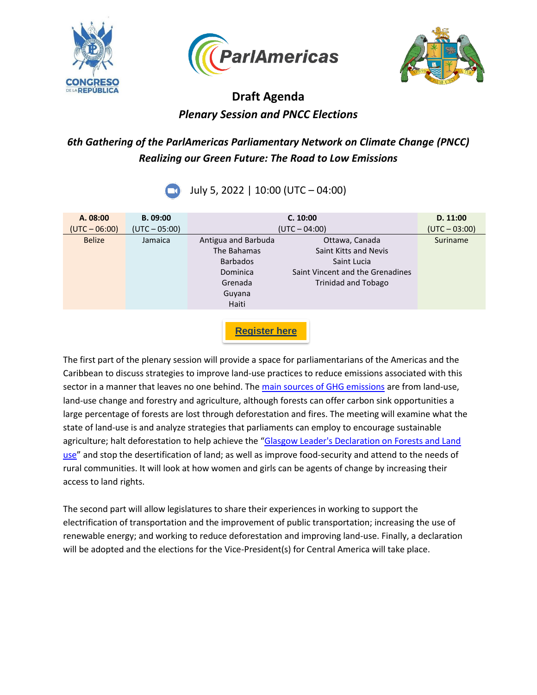





# **Draft Agenda** *Plenary Session and PNCC Elections*

### *6th Gathering of the ParlAmericas Parliamentary Network on Climate Change (PNCC) Realizing our Green Future: The Road to Low Emissions*

July 5, 2022 | 10:00 (UTC – 04:00)

| A. 08:00<br>$(UTC - 06:00)$ | B. 09:00<br>$(UTC - 05:00)$ |                                                                                                 | C. 10:00<br>$(UTC - 04:00)$                                                                                       | D. 11:00<br>$(UTC - 03:00)$ |
|-----------------------------|-----------------------------|-------------------------------------------------------------------------------------------------|-------------------------------------------------------------------------------------------------------------------|-----------------------------|
| <b>Belize</b>               | Jamaica                     | Antigua and Barbuda<br>The Bahamas<br><b>Barbados</b><br>Dominica<br>Grenada<br>Guyana<br>Haiti | Ottawa, Canada<br>Saint Kitts and Nevis<br>Saint Lucia<br>Saint Vincent and the Grenadines<br>Trinidad and Tobago | Suriname                    |
|                             |                             | <b>Register here</b>                                                                            |                                                                                                                   |                             |

The first part of the plenary session will provide a space for parliamentarians of the Americas and the Caribbean to discuss strategies to improve land-use practices to reduce emissions associated with this sector in a manner that leaves no one behind. The [main sources of GHG emissions](https://blogs.worldbank.org/latinamerica/10-key-points-climate-change-impacts-opportunities-and-priorities-latin-america-and) are from land-use, land-use change and forestry and agriculture, although forests can offer carbon sink opportunities a large percentage of forests are lost through deforestation and fires. The meeting will examine what the state of land-use is and analyze strategies that parliaments can employ to encourage sustainable agriculture; halt deforestation to help achieve the "Glasgow Leader's Declaration on Forests and Land [use](https://ukcop26.org/glasgow-leaders-declaration-on-forests-and-land-use/)" and stop the desertification of land; as well as improve food-security and attend to the needs of rural communities. It will look at how women and girls can be agents of change by increasing their access to land rights.

The second part will allow legislatures to share their experiences in working to support the electrification of transportation and the improvement of public transportation; increasing the use of renewable energy; and working to reduce deforestation and improving land-use. Finally, a declaration will be adopted and the elections for the Vice-President(s) for Central America will take place.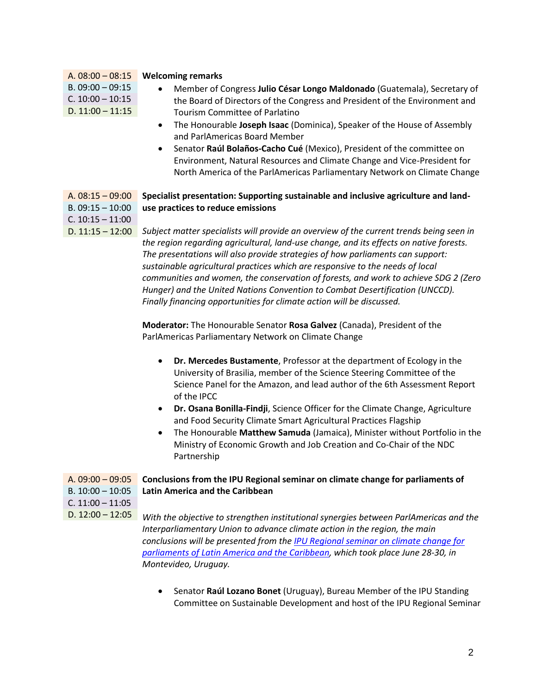|                                                              | A. $08:00 - 08:15$                                                    | <b>Welcoming remarks</b>                                                                |  |
|--------------------------------------------------------------|-----------------------------------------------------------------------|-----------------------------------------------------------------------------------------|--|
|                                                              | $B. 09:00 - 09:15$                                                    | Member of Congress Julio César Longo Maldonado (Guatemala), Secretary of                |  |
|                                                              | $C. 10:00 - 10:15$                                                    | the Board of Directors of the Congress and President of the Environment and             |  |
|                                                              | D. $11:00 - 11:15$                                                    | <b>Tourism Committee of Parlatino</b>                                                   |  |
|                                                              |                                                                       | The Honourable Joseph Isaac (Dominica), Speaker of the House of Assembly<br>$\bullet$   |  |
|                                                              |                                                                       | and ParlAmericas Board Member                                                           |  |
|                                                              |                                                                       | Senator Raúl Bolaños-Cacho Cué (Mexico), President of the committee on                  |  |
|                                                              |                                                                       | Environment, Natural Resources and Climate Change and Vice-President for                |  |
|                                                              |                                                                       | North America of the ParlAmericas Parliamentary Network on Climate Change               |  |
|                                                              |                                                                       |                                                                                         |  |
|                                                              | A. $08:15 - 09:00$                                                    | Specialist presentation: Supporting sustainable and inclusive agriculture and land-     |  |
|                                                              | $B. 09:15 - 10:00$                                                    | use practices to reduce emissions                                                       |  |
|                                                              | $C. 10:15 - 11:00$                                                    |                                                                                         |  |
|                                                              | D. $11:15 - 12:00$                                                    | Subject matter specialists will provide an overview of the current trends being seen in |  |
|                                                              |                                                                       | the region regarding agricultural, land-use change, and its effects on native forests.  |  |
|                                                              |                                                                       | The presentations will also provide strategies of how parliaments can support:          |  |
|                                                              |                                                                       | sustainable agricultural practices which are responsive to the needs of local           |  |
|                                                              |                                                                       | communities and women, the conservation of forests, and work to achieve SDG 2 (Zero     |  |
|                                                              |                                                                       | Hunger) and the United Nations Convention to Combat Desertification (UNCCD).            |  |
|                                                              | Finally financing opportunities for climate action will be discussed. |                                                                                         |  |
|                                                              |                                                                       |                                                                                         |  |
|                                                              |                                                                       | Moderator: The Honourable Senator Rosa Galvez (Canada), President of the                |  |
|                                                              |                                                                       | ParlAmericas Parliamentary Network on Climate Change                                    |  |
|                                                              |                                                                       | Dr. Mercedes Bustamente, Professor at the department of Ecology in the<br>$\bullet$     |  |
|                                                              |                                                                       | University of Brasilia, member of the Science Steering Committee of the                 |  |
|                                                              |                                                                       | Science Panel for the Amazon, and lead author of the 6th Assessment Report              |  |
|                                                              |                                                                       | of the IPCC                                                                             |  |
|                                                              |                                                                       | Dr. Osana Bonilla-Findji, Science Officer for the Climate Change, Agriculture           |  |
|                                                              |                                                                       | and Food Security Climate Smart Agricultural Practices Flagship                         |  |
|                                                              |                                                                       | The Honourable Matthew Samuda (Jamaica), Minister without Portfolio in the              |  |
|                                                              |                                                                       | Ministry of Economic Growth and Job Creation and Co-Chair of the NDC                    |  |
|                                                              |                                                                       | Partnership                                                                             |  |
|                                                              |                                                                       |                                                                                         |  |
|                                                              | A. $09:00 - 09:05$                                                    | Conclusions from the IPU Regional seminar on climate change for parliaments of          |  |
| <b>Latin America and the Caribbean</b><br>$B. 10:00 - 10:05$ |                                                                       |                                                                                         |  |
|                                                              | $C. 11:00 - 11:05$                                                    |                                                                                         |  |
|                                                              | D. $12:00 - 12:05$                                                    | With the objective to strengthen institutional synergies between ParlAmericas and the   |  |
|                                                              |                                                                       | Interparliamentary Union to advance climate action in the region, the main              |  |
|                                                              |                                                                       | conclusions will be presented from the IPU Regional seminar on climate change for       |  |
|                                                              |                                                                       | parliaments of Latin America and the Caribbean, which took place June 28-30, in         |  |
|                                                              |                                                                       | Montevideo, Uruguay.                                                                    |  |
|                                                              |                                                                       |                                                                                         |  |
|                                                              |                                                                       |                                                                                         |  |

• Senator **Raúl Lozano Bonet** (Uruguay), Bureau Member of the IPU Standing Committee on Sustainable Development and host of the IPU Regional Seminar